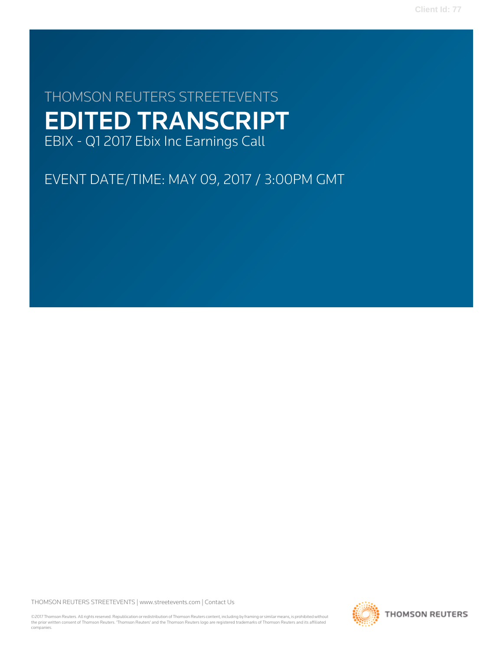**Client Id: 77**

# THOMSON REUTERS STREETEVENTS EDITED TRANSCRIPT EBIX - Q1 2017 Ebix Inc Earnings Call

EVENT DATE/TIME: MAY 09, 2017 / 3:00PM GMT

THOMSON REUTERS STREETEVENTS | [www.streetevents.com](http://www.streetevents.com) | [Contact Us](http://www010.streetevents.com/contact.asp)

©2017 Thomson Reuters. All rights reserved. Republication or redistribution of Thomson Reuters content, including by framing or similar means, is prohibited without the prior written consent of Thomson Reuters. 'Thomson Reuters' and the Thomson Reuters logo are registered trademarks of Thomson Reuters and its affiliated companies.

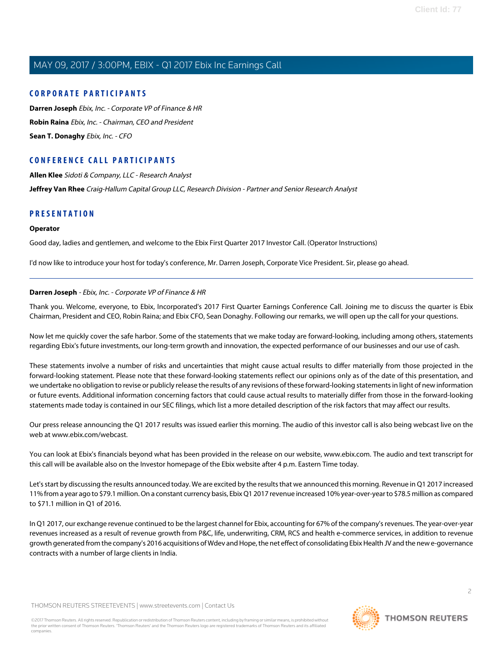# **CORPORATE PARTICIPANTS**

**[Darren Joseph](#page-1-0)** Ebix, Inc. - Corporate VP of Finance & HR **[Robin Raina](#page-3-0)** Ebix, Inc. - Chairman, CEO and President **[Sean T. Donaghy](#page-2-0)** Ebix, Inc. - CFO

# **CONFERENCE CALL PARTICIPANTS**

**[Allen Klee](#page-8-0)** Sidoti & Company, LLC - Research Analyst **[Jeffrey Van Rhee](#page-4-0)** Craig-Hallum Capital Group LLC, Research Division - Partner and Senior Research Analyst

# **PRESENTATION**

#### **Operator**

Good day, ladies and gentlemen, and welcome to the Ebix First Quarter 2017 Investor Call. (Operator Instructions)

<span id="page-1-0"></span>I'd now like to introduce your host for today's conference, Mr. Darren Joseph, Corporate Vice President. Sir, please go ahead.

# **Darren Joseph** - Ebix, Inc. - Corporate VP of Finance & HR

Thank you. Welcome, everyone, to Ebix, Incorporated's 2017 First Quarter Earnings Conference Call. Joining me to discuss the quarter is Ebix Chairman, President and CEO, Robin Raina; and Ebix CFO, Sean Donaghy. Following our remarks, we will open up the call for your questions.

Now let me quickly cover the safe harbor. Some of the statements that we make today are forward-looking, including among others, statements regarding Ebix's future investments, our long-term growth and innovation, the expected performance of our businesses and our use of cash.

These statements involve a number of risks and uncertainties that might cause actual results to differ materially from those projected in the forward-looking statement. Please note that these forward-looking statements reflect our opinions only as of the date of this presentation, and we undertake no obligation to revise or publicly release the results of any revisions of these forward-looking statements in light of new information or future events. Additional information concerning factors that could cause actual results to materially differ from those in the forward-looking statements made today is contained in our SEC filings, which list a more detailed description of the risk factors that may affect our results.

Our press release announcing the Q1 2017 results was issued earlier this morning. The audio of this investor call is also being webcast live on the web at www.ebix.com/webcast.

You can look at Ebix's financials beyond what has been provided in the release on our website, www.ebix.com. The audio and text transcript for this call will be available also on the Investor homepage of the Ebix website after 4 p.m. Eastern Time today.

Let's start by discussing the results announced today. We are excited by the results that we announced this morning. Revenue in Q1 2017 increased 11% from a year ago to \$79.1 million. On a constant currency basis, Ebix Q1 2017 revenue increased 10% year-over-year to \$78.5 million as compared to \$71.1 million in Q1 of 2016.

In Q1 2017, our exchange revenue continued to be the largest channel for Ebix, accounting for 67% of the company's revenues. The year-over-year revenues increased as a result of revenue growth from P&C, life, underwriting, CRM, RCS and health e-commerce services, in addition to revenue growth generated from the company's 2016 acquisitions of Wdev and Hope, the net effect of consolidating Ebix Health JV and the new e-governance contracts with a number of large clients in India.

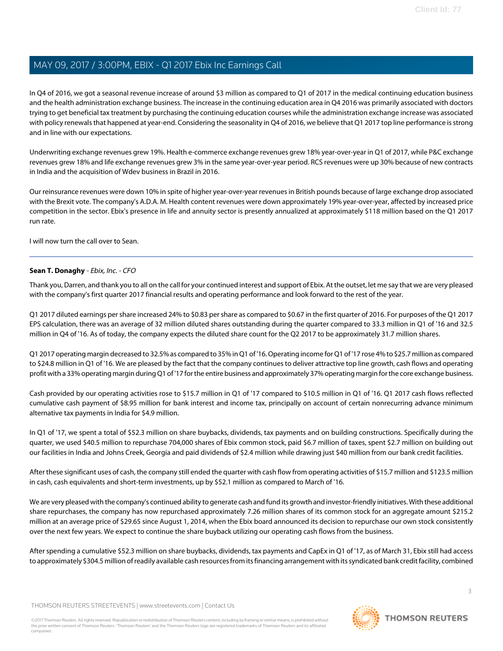In Q4 of 2016, we got a seasonal revenue increase of around \$3 million as compared to Q1 of 2017 in the medical continuing education business and the health administration exchange business. The increase in the continuing education area in Q4 2016 was primarily associated with doctors trying to get beneficial tax treatment by purchasing the continuing education courses while the administration exchange increase was associated with policy renewals that happened at year-end. Considering the seasonality in Q4 of 2016, we believe that Q1 2017 top line performance is strong and in line with our expectations.

Underwriting exchange revenues grew 19%. Health e-commerce exchange revenues grew 18% year-over-year in Q1 of 2017, while P&C exchange revenues grew 18% and life exchange revenues grew 3% in the same year-over-year period. RCS revenues were up 30% because of new contracts in India and the acquisition of Wdev business in Brazil in 2016.

Our reinsurance revenues were down 10% in spite of higher year-over-year revenues in British pounds because of large exchange drop associated with the Brexit vote. The company's A.D.A. M. Health content revenues were down approximately 19% year-over-year, affected by increased price competition in the sector. Ebix's presence in life and annuity sector is presently annualized at approximately \$118 million based on the Q1 2017 run rate.

<span id="page-2-0"></span>I will now turn the call over to Sean.

# **Sean T. Donaghy** - Ebix, Inc. - CFO

Thank you, Darren, and thank you to all on the call for your continued interest and support of Ebix. At the outset, let me say that we are very pleased with the company's first quarter 2017 financial results and operating performance and look forward to the rest of the year.

Q1 2017 diluted earnings per share increased 24% to \$0.83 per share as compared to \$0.67 in the first quarter of 2016. For purposes of the Q1 2017 EPS calculation, there was an average of 32 million diluted shares outstanding during the quarter compared to 33.3 million in Q1 of '16 and 32.5 million in Q4 of '16. As of today, the company expects the diluted share count for the Q2 2017 to be approximately 31.7 million shares.

Q1 2017 operating margin decreased to 32.5% as compared to 35% in Q1 of '16. Operating income for Q1 of '17 rose 4% to \$25.7 million as compared to \$24.8 million in Q1 of '16. We are pleased by the fact that the company continues to deliver attractive top line growth, cash flows and operating profit with a 33% operating margin during Q1 of '17 for the entire business and approximately 37% operating margin for the core exchange business.

Cash provided by our operating activities rose to \$15.7 million in Q1 of '17 compared to \$10.5 million in Q1 of '16. Q1 2017 cash flows reflected cumulative cash payment of \$8.95 million for bank interest and income tax, principally on account of certain nonrecurring advance minimum alternative tax payments in India for \$4.9 million.

In Q1 of '17, we spent a total of \$52.3 million on share buybacks, dividends, tax payments and on building constructions. Specifically during the quarter, we used \$40.5 million to repurchase 704,000 shares of Ebix common stock, paid \$6.7 million of taxes, spent \$2.7 million on building out our facilities in India and Johns Creek, Georgia and paid dividends of \$2.4 million while drawing just \$40 million from our bank credit facilities.

After these significant uses of cash, the company still ended the quarter with cash flow from operating activities of \$15.7 million and \$123.5 million in cash, cash equivalents and short-term investments, up by \$52.1 million as compared to March of '16.

We are very pleased with the company's continued ability to generate cash and fund its growth and investor-friendly initiatives. With these additional share repurchases, the company has now repurchased approximately 7.26 million shares of its common stock for an aggregate amount \$215.2 million at an average price of \$29.65 since August 1, 2014, when the Ebix board announced its decision to repurchase our own stock consistently over the next few years. We expect to continue the share buyback utilizing our operating cash flows from the business.

After spending a cumulative \$52.3 million on share buybacks, dividends, tax payments and CapEx in Q1 of '17, as of March 31, Ebix still had access to approximately \$304.5 million of readily available cash resources from its financing arrangement with its syndicated bank credit facility, combined

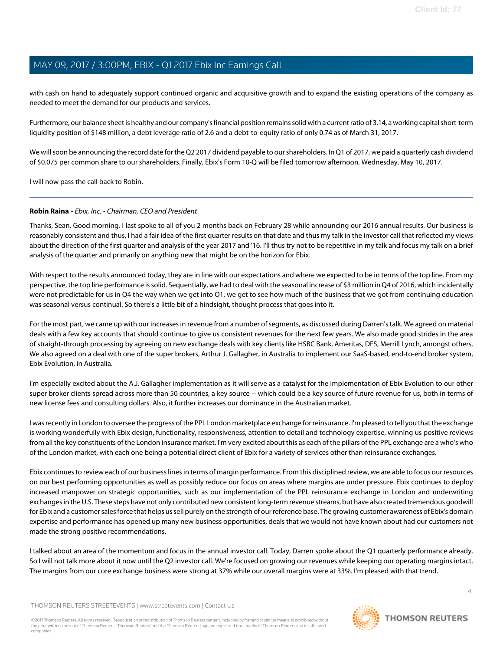with cash on hand to adequately support continued organic and acquisitive growth and to expand the existing operations of the company as needed to meet the demand for our products and services.

Furthermore, our balance sheet is healthy and our company's financial position remains solid with a current ratio of 3.14, a working capital short-term liquidity position of \$148 million, a debt leverage ratio of 2.6 and a debt-to-equity ratio of only 0.74 as of March 31, 2017.

We will soon be announcing the record date for the Q2 2017 dividend payable to our shareholders. In Q1 of 2017, we paid a quarterly cash dividend of \$0.075 per common share to our shareholders. Finally, Ebix's Form 10-Q will be filed tomorrow afternoon, Wednesday, May 10, 2017.

<span id="page-3-0"></span>I will now pass the call back to Robin.

# **Robin Raina** - Ebix, Inc. - Chairman, CEO and President

Thanks, Sean. Good morning. I last spoke to all of you 2 months back on February 28 while announcing our 2016 annual results. Our business is reasonably consistent and thus, I had a fair idea of the first quarter results on that date and thus my talk in the investor call that reflected my views about the direction of the first quarter and analysis of the year 2017 and '16. I'll thus try not to be repetitive in my talk and focus my talk on a brief analysis of the quarter and primarily on anything new that might be on the horizon for Ebix.

With respect to the results announced today, they are in line with our expectations and where we expected to be in terms of the top line. From my perspective, the top line performance is solid. Sequentially, we had to deal with the seasonal increase of \$3 million in Q4 of 2016, which incidentally were not predictable for us in Q4 the way when we get into Q1, we get to see how much of the business that we got from continuing education was seasonal versus continual. So there's a little bit of a hindsight, thought process that goes into it.

For the most part, we came up with our increases in revenue from a number of segments, as discussed during Darren's talk. We agreed on material deals with a few key accounts that should continue to give us consistent revenues for the next few years. We also made good strides in the area of straight-through processing by agreeing on new exchange deals with key clients like HSBC Bank, Ameritas, DFS, Merrill Lynch, amongst others. We also agreed on a deal with one of the super brokers, Arthur J. Gallagher, in Australia to implement our SaaS-based, end-to-end broker system, Ebix Evolution, in Australia.

I'm especially excited about the A.J. Gallagher implementation as it will serve as a catalyst for the implementation of Ebix Evolution to our other super broker clients spread across more than 50 countries, a key source -- which could be a key source of future revenue for us, both in terms of new license fees and consulting dollars. Also, it further increases our dominance in the Australian market.

I was recently in London to oversee the progress of the PPL London marketplace exchange for reinsurance. I'm pleased to tell you that the exchange is working wonderfully with Ebix design, functionality, responsiveness, attention to detail and technology expertise, winning us positive reviews from all the key constituents of the London insurance market. I'm very excited about this as each of the pillars of the PPL exchange are a who's who of the London market, with each one being a potential direct client of Ebix for a variety of services other than reinsurance exchanges.

Ebix continues to review each of our business lines in terms of margin performance. From this disciplined review, we are able to focus our resources on our best performing opportunities as well as possibly reduce our focus on areas where margins are under pressure. Ebix continues to deploy increased manpower on strategic opportunities, such as our implementation of the PPL reinsurance exchange in London and underwriting exchanges in the U.S. These steps have not only contributed new consistent long-term revenue streams, but have also created tremendous goodwill for Ebix and a customer sales force that helps us sell purely on the strength of our reference base. The growing customer awareness of Ebix's domain expertise and performance has opened up many new business opportunities, deals that we would not have known about had our customers not made the strong positive recommendations.

I talked about an area of the momentum and focus in the annual investor call. Today, Darren spoke about the Q1 quarterly performance already. So I will not talk more about it now until the Q2 investor call. We're focused on growing our revenues while keeping our operating margins intact. The margins from our core exchange business were strong at 37% while our overall margins were at 33%. I'm pleased with that trend.

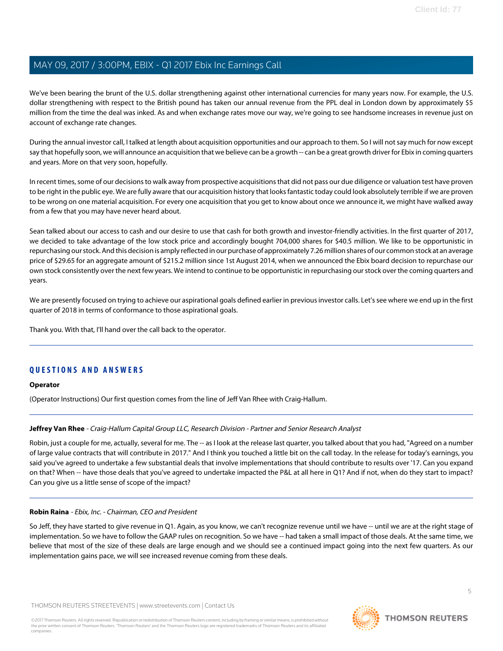We've been bearing the brunt of the U.S. dollar strengthening against other international currencies for many years now. For example, the U.S. dollar strengthening with respect to the British pound has taken our annual revenue from the PPL deal in London down by approximately \$5 million from the time the deal was inked. As and when exchange rates move our way, we're going to see handsome increases in revenue just on account of exchange rate changes.

During the annual investor call, I talked at length about acquisition opportunities and our approach to them. So I will not say much for now except say that hopefully soon, we will announce an acquisition that we believe can be a growth -- can be a great growth driver for Ebix in coming quarters and years. More on that very soon, hopefully.

In recent times, some of our decisions to walk away from prospective acquisitions that did not pass our due diligence or valuation test have proven to be right in the public eye. We are fully aware that our acquisition history that looks fantastic today could look absolutely terrible if we are proven to be wrong on one material acquisition. For every one acquisition that you get to know about once we announce it, we might have walked away from a few that you may have never heard about.

Sean talked about our access to cash and our desire to use that cash for both growth and investor-friendly activities. In the first quarter of 2017, we decided to take advantage of the low stock price and accordingly bought 704,000 shares for \$40.5 million. We like to be opportunistic in repurchasing our stock. And this decision is amply reflected in our purchase of approximately 7.26 million shares of our common stock at an average price of \$29.65 for an aggregate amount of \$215.2 million since 1st August 2014, when we announced the Ebix board decision to repurchase our own stock consistently over the next few years. We intend to continue to be opportunistic in repurchasing our stock over the coming quarters and years.

We are presently focused on trying to achieve our aspirational goals defined earlier in previous investor calls. Let's see where we end up in the first quarter of 2018 in terms of conformance to those aspirational goals.

Thank you. With that, I'll hand over the call back to the operator.

# **QUESTIONS AND ANSWERS**

#### <span id="page-4-0"></span>**Operator**

(Operator Instructions) Our first question comes from the line of Jeff Van Rhee with Craig-Hallum.

#### **Jeffrey Van Rhee** - Craig-Hallum Capital Group LLC, Research Division - Partner and Senior Research Analyst

Robin, just a couple for me, actually, several for me. The -- as I look at the release last quarter, you talked about that you had, "Agreed on a number of large value contracts that will contribute in 2017." And I think you touched a little bit on the call today. In the release for today's earnings, you said you've agreed to undertake a few substantial deals that involve implementations that should contribute to results over '17. Can you expand on that? When -- have those deals that you've agreed to undertake impacted the P&L at all here in Q1? And if not, when do they start to impact? Can you give us a little sense of scope of the impact?

#### **Robin Raina** - Ebix, Inc. - Chairman, CEO and President

So Jeff, they have started to give revenue in Q1. Again, as you know, we can't recognize revenue until we have -- until we are at the right stage of implementation. So we have to follow the GAAP rules on recognition. So we have -- had taken a small impact of those deals. At the same time, we believe that most of the size of these deals are large enough and we should see a continued impact going into the next few quarters. As our implementation gains pace, we will see increased revenue coming from these deals.

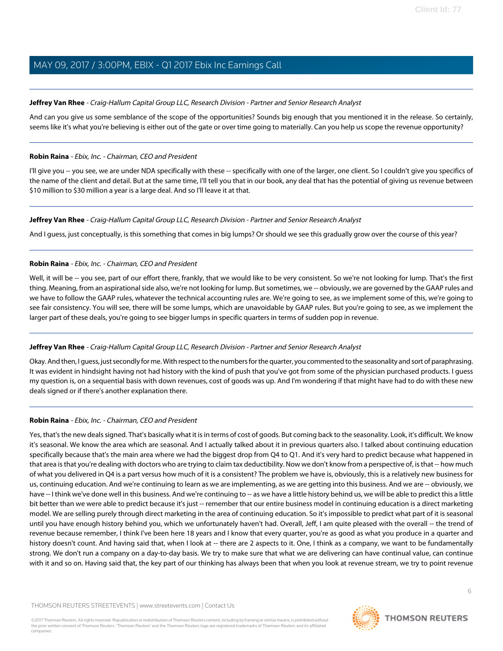# **Jeffrey Van Rhee** - Craig-Hallum Capital Group LLC, Research Division - Partner and Senior Research Analyst

And can you give us some semblance of the scope of the opportunities? Sounds big enough that you mentioned it in the release. So certainly, seems like it's what you're believing is either out of the gate or over time going to materially. Can you help us scope the revenue opportunity?

## **Robin Raina** - Ebix, Inc. - Chairman, CEO and President

I'll give you -- you see, we are under NDA specifically with these -- specifically with one of the larger, one client. So I couldn't give you specifics of the name of the client and detail. But at the same time, I'll tell you that in our book, any deal that has the potential of giving us revenue between \$10 million to \$30 million a year is a large deal. And so I'll leave it at that.

# **Jeffrey Van Rhee** - Craig-Hallum Capital Group LLC, Research Division - Partner and Senior Research Analyst

And I guess, just conceptually, is this something that comes in big lumps? Or should we see this gradually grow over the course of this year?

# **Robin Raina** - Ebix, Inc. - Chairman, CEO and President

Well, it will be -- you see, part of our effort there, frankly, that we would like to be very consistent. So we're not looking for lump. That's the first thing. Meaning, from an aspirational side also, we're not looking for lump. But sometimes, we -- obviously, we are governed by the GAAP rules and we have to follow the GAAP rules, whatever the technical accounting rules are. We're going to see, as we implement some of this, we're going to see fair consistency. You will see, there will be some lumps, which are unavoidable by GAAP rules. But you're going to see, as we implement the larger part of these deals, you're going to see bigger lumps in specific quarters in terms of sudden pop in revenue.

# **Jeffrey Van Rhee** - Craig-Hallum Capital Group LLC, Research Division - Partner and Senior Research Analyst

Okay. And then, I guess, just secondly for me. With respect to the numbers for the quarter, you commented to the seasonality and sort of paraphrasing. It was evident in hindsight having not had history with the kind of push that you've got from some of the physician purchased products. I guess my question is, on a sequential basis with down revenues, cost of goods was up. And I'm wondering if that might have had to do with these new deals signed or if there's another explanation there.

# **Robin Raina** - Ebix, Inc. - Chairman, CEO and President

Yes, that's the new deals signed. That's basically what it is in terms of cost of goods. But coming back to the seasonality. Look, it's difficult. We know it's seasonal. We know the area which are seasonal. And I actually talked about it in previous quarters also. I talked about continuing education specifically because that's the main area where we had the biggest drop from Q4 to Q1. And it's very hard to predict because what happened in that area is that you're dealing with doctors who are trying to claim tax deductibility. Now we don't know from a perspective of, is that -- how much of what you delivered in Q4 is a part versus how much of it is a consistent? The problem we have is, obviously, this is a relatively new business for us, continuing education. And we're continuing to learn as we are implementing, as we are getting into this business. And we are -- obviously, we have -- I think we've done well in this business. And we're continuing to -- as we have a little history behind us, we will be able to predict this a little bit better than we were able to predict because it's just -- remember that our entire business model in continuing education is a direct marketing model. We are selling purely through direct marketing in the area of continuing education. So it's impossible to predict what part of it is seasonal until you have enough history behind you, which we unfortunately haven't had. Overall, Jeff, I am quite pleased with the overall -- the trend of revenue because remember, I think I've been here 18 years and I know that every quarter, you're as good as what you produce in a quarter and history doesn't count. And having said that, when I look at -- there are 2 aspects to it. One, I think as a company, we want to be fundamentally strong. We don't run a company on a day-to-day basis. We try to make sure that what we are delivering can have continual value, can continue with it and so on. Having said that, the key part of our thinking has always been that when you look at revenue stream, we try to point revenue



6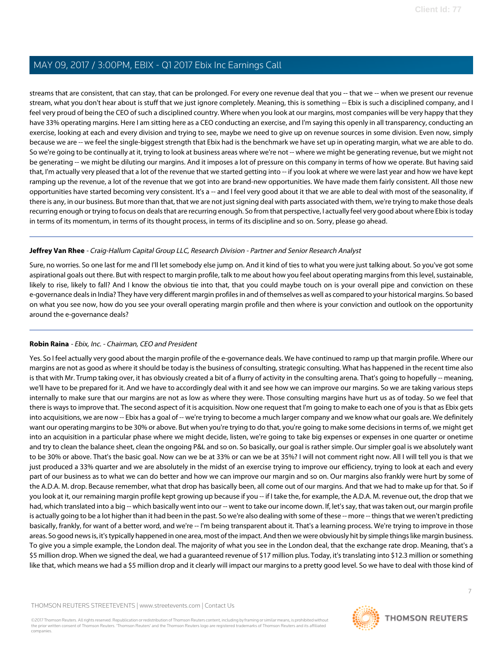streams that are consistent, that can stay, that can be prolonged. For every one revenue deal that you -- that we -- when we present our revenue stream, what you don't hear about is stuff that we just ignore completely. Meaning, this is something -- Ebix is such a disciplined company, and I feel very proud of being the CEO of such a disciplined country. Where when you look at our margins, most companies will be very happy that they have 33% operating margins. Here I am sitting here as a CEO conducting an exercise, and I'm saying this openly in all transparency, conducting an exercise, looking at each and every division and trying to see, maybe we need to give up on revenue sources in some division. Even now, simply because we are -- we feel the single-biggest strength that Ebix had is the benchmark we have set up in operating margin, what we are able to do. So we're going to be continually at it, trying to look at business areas where we're not -- where we might be generating revenue, but we might not be generating -- we might be diluting our margins. And it imposes a lot of pressure on this company in terms of how we operate. But having said that, I'm actually very pleased that a lot of the revenue that we started getting into -- if you look at where we were last year and how we have kept ramping up the revenue, a lot of the revenue that we got into are brand-new opportunities. We have made them fairly consistent. All those new opportunities have started becoming very consistent. It's a -- and I feel very good about it that we are able to deal with most of the seasonality, if there is any, in our business. But more than that, that we are not just signing deal with parts associated with them, we're trying to make those deals recurring enough or trying to focus on deals that are recurring enough. So from that perspective, I actually feel very good about where Ebix is today in terms of its momentum, in terms of its thought process, in terms of its discipline and so on. Sorry, please go ahead.

# **Jeffrey Van Rhee** - Craig-Hallum Capital Group LLC, Research Division - Partner and Senior Research Analyst

Sure, no worries. So one last for me and I'll let somebody else jump on. And it kind of ties to what you were just talking about. So you've got some aspirational goals out there. But with respect to margin profile, talk to me about how you feel about operating margins from this level, sustainable, likely to rise, likely to fall? And I know the obvious tie into that, that you could maybe touch on is your overall pipe and conviction on these e-governance deals in India? They have very different margin profiles in and of themselves as well as compared to your historical margins. So based on what you see now, how do you see your overall operating margin profile and then where is your conviction and outlook on the opportunity around the e-governance deals?

# **Robin Raina** - Ebix, Inc. - Chairman, CEO and President

Yes. So I feel actually very good about the margin profile of the e-governance deals. We have continued to ramp up that margin profile. Where our margins are not as good as where it should be today is the business of consulting, strategic consulting. What has happened in the recent time also is that with Mr. Trump taking over, it has obviously created a bit of a flurry of activity in the consulting arena. That's going to hopefully -- meaning, we'll have to be prepared for it. And we have to accordingly deal with it and see how we can improve our margins. So we are taking various steps internally to make sure that our margins are not as low as where they were. Those consulting margins have hurt us as of today. So we feel that there is ways to improve that. The second aspect of it is acquisition. Now one request that I'm going to make to each one of you is that as Ebix gets into acquisitions, we are now -- Ebix has a goal of -- we're trying to become a much larger company and we know what our goals are. We definitely want our operating margins to be 30% or above. But when you're trying to do that, you're going to make some decisions in terms of, we might get into an acquisition in a particular phase where we might decide, listen, we're going to take big expenses or expenses in one quarter or onetime and try to clean the balance sheet, clean the ongoing P&L and so on. So basically, our goal is rather simple. Our simpler goal is we absolutely want to be 30% or above. That's the basic goal. Now can we be at 33% or can we be at 35%? I will not comment right now. All I will tell you is that we just produced a 33% quarter and we are absolutely in the midst of an exercise trying to improve our efficiency, trying to look at each and every part of our business as to what we can do better and how we can improve our margin and so on. Our margins also frankly were hurt by some of the A.D.A. M. drop. Because remember, what that drop has basically been, all come out of our margins. And that we had to make up for that. So if you look at it, our remaining margin profile kept growing up because if you -- if I take the, for example, the A.D.A. M. revenue out, the drop that we had, which translated into a big -- which basically went into our -- went to take our income down. If, let's say, that was taken out, our margin profile is actually going to be a lot higher than it had been in the past. So we're also dealing with some of these -- more -- things that we weren't predicting basically, frankly, for want of a better word, and we're -- I'm being transparent about it. That's a learning process. We're trying to improve in those areas. So good news is, it's typically happened in one area, most of the impact. And then we were obviously hit by simple things like margin business. To give you a simple example, the London deal. The majority of what you see in the London deal, that the exchange rate drop. Meaning, that's a \$5 million drop. When we signed the deal, we had a guaranteed revenue of \$17 million plus. Today, it's translating into \$12.3 million or something like that, which means we had a \$5 million drop and it clearly will impact our margins to a pretty good level. So we have to deal with those kind of

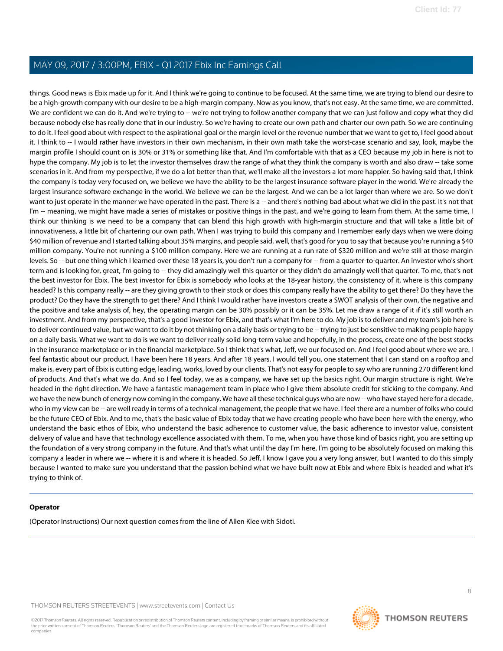things. Good news is Ebix made up for it. And I think we're going to continue to be focused. At the same time, we are trying to blend our desire to be a high-growth company with our desire to be a high-margin company. Now as you know, that's not easy. At the same time, we are committed. We are confident we can do it. And we're trying to -- we're not trying to follow another company that we can just follow and copy what they did because nobody else has really done that in our industry. So we're having to create our own path and charter our own path. So we are continuing to do it. I feel good about with respect to the aspirational goal or the margin level or the revenue number that we want to get to, I feel good about it. I think to -- I would rather have investors in their own mechanism, in their own math take the worst-case scenario and say, look, maybe the margin profile I should count on is 30% or 31% or something like that. And I'm comfortable with that as a CEO because my job in here is not to hype the company. My job is to let the investor themselves draw the range of what they think the company is worth and also draw -- take some scenarios in it. And from my perspective, if we do a lot better than that, we'll make all the investors a lot more happier. So having said that, I think the company is today very focused on, we believe we have the ability to be the largest insurance software player in the world. We're already the largest insurance software exchange in the world. We believe we can be the largest. And we can be a lot larger than where we are. So we don't want to just operate in the manner we have operated in the past. There is a -- and there's nothing bad about what we did in the past. It's not that I'm -- meaning, we might have made a series of mistakes or positive things in the past, and we're going to learn from them. At the same time, I think our thinking is we need to be a company that can blend this high growth with high-margin structure and that will take a little bit of innovativeness, a little bit of chartering our own path. When I was trying to build this company and I remember early days when we were doing \$40 million of revenue and I started talking about 35% margins, and people said, well, that's good for you to say that because you're running a \$40 million company. You're not running a \$100 million company. Here we are running at a run rate of \$320 million and we're still at those margin levels. So -- but one thing which I learned over these 18 years is, you don't run a company for -- from a quarter-to-quarter. An investor who's short term and is looking for, great, I'm going to -- they did amazingly well this quarter or they didn't do amazingly well that quarter. To me, that's not the best investor for Ebix. The best investor for Ebix is somebody who looks at the 18-year history, the consistency of it, where is this company headed? Is this company really -- are they giving growth to their stock or does this company really have the ability to get there? Do they have the product? Do they have the strength to get there? And I think I would rather have investors create a SWOT analysis of their own, the negative and the positive and take analysis of, hey, the operating margin can be 30% possibly or it can be 35%. Let me draw a range of it if it's still worth an investment. And from my perspective, that's a good investor for Ebix, and that's what I'm here to do. My job is to deliver and my team's job here is to deliver continued value, but we want to do it by not thinking on a daily basis or trying to be -- trying to just be sensitive to making people happy on a daily basis. What we want to do is we want to deliver really solid long-term value and hopefully, in the process, create one of the best stocks in the insurance marketplace or in the financial marketplace. So I think that's what, Jeff, we our focused on. And I feel good about where we are. I feel fantastic about our product. I have been here 18 years. And after 18 years, I would tell you, one statement that I can stand on a rooftop and make is, every part of Ebix is cutting edge, leading, works, loved by our clients. That's not easy for people to say who are running 270 different kind of products. And that's what we do. And so I feel today, we as a company, we have set up the basics right. Our margin structure is right. We're headed in the right direction. We have a fantastic management team in place who I give them absolute credit for sticking to the company. And we have the new bunch of energy now coming in the company. We have all these technical guys who are now -- who have stayed here for a decade, who in my view can be -- are well ready in terms of a technical management, the people that we have. I feel there are a number of folks who could be the future CEO of Ebix. And to me, that's the basic value of Ebix today that we have creating people who have been here with the energy, who understand the basic ethos of Ebix, who understand the basic adherence to customer value, the basic adherence to investor value, consistent delivery of value and have that technology excellence associated with them. To me, when you have those kind of basics right, you are setting up the foundation of a very strong company in the future. And that's what until the day I'm here, I'm going to be absolutely focused on making this company a leader in where we -- where it is and where it is headed. So Jeff, I know I gave you a very long answer, but I wanted to do this simply because I wanted to make sure you understand that the passion behind what we have built now at Ebix and where Ebix is headed and what it's trying to think of.

#### **Operator**

(Operator Instructions) Our next question comes from the line of Allen Klee with Sidoti.

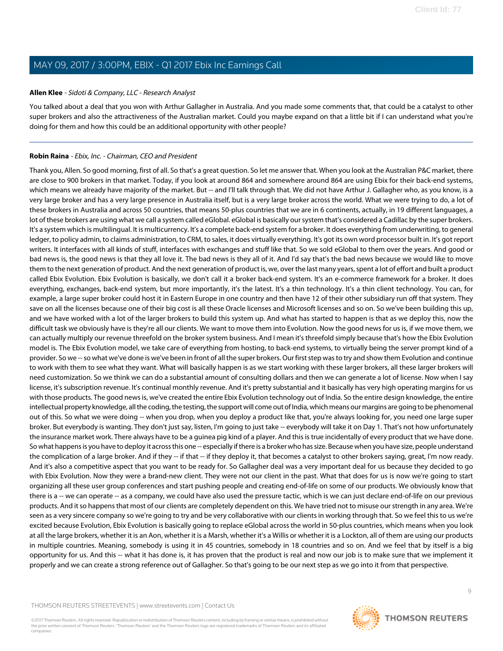## <span id="page-8-0"></span>**Allen Klee** - Sidoti & Company, LLC - Research Analyst

You talked about a deal that you won with Arthur Gallagher in Australia. And you made some comments that, that could be a catalyst to other super brokers and also the attractiveness of the Australian market. Could you maybe expand on that a little bit if I can understand what you're doing for them and how this could be an additional opportunity with other people?

# **Robin Raina** - Ebix, Inc. - Chairman, CEO and President

Thank you, Allen. So good morning, first of all. So that's a great question. So let me answer that. When you look at the Australian P&C market, there are close to 900 brokers in that market. Today, if you look at around 864 and somewhere around 864 are using Ebix for their back-end systems, which means we already have majority of the market. But -- and I'll talk through that. We did not have Arthur J. Gallagher who, as you know, is a very large broker and has a very large presence in Australia itself, but is a very large broker across the world. What we were trying to do, a lot of these brokers in Australia and across 50 countries, that means 50-plus countries that we are in 6 continents, actually, in 19 different languages, a lot of these brokers are using what we call a system called eGlobal. eGlobal is basically our system that's considered a Cadillac by the super brokers. It's a system which is multilingual. It is multicurrency. It's a complete back-end system for a broker. It does everything from underwriting, to general ledger, to policy admin, to claims administration, to CRM, to sales, it does virtually everything. It's got its own word processor built in. It's got report writers. It interfaces with all kinds of stuff, interfaces with exchanges and stuff like that. So we sold eGlobal to them over the years. And good or bad news is, the good news is that they all love it. The bad news is they all of it. And I'd say that's the bad news because we would like to move them to the next generation of product. And the next generation of product is, we, over the last many years, spent a lot of effort and built a product called Ebix Evolution. Ebix Evolution is basically, we don't call it a broker back-end system. It's an e-commerce framework for a broker. It does everything, exchanges, back-end system, but more importantly, it's the latest. It's a thin technology. It's a thin client technology. You can, for example, a large super broker could host it in Eastern Europe in one country and then have 12 of their other subsidiary run off that system. They save on all the licenses because one of their big cost is all these Oracle licenses and Microsoft licenses and so on. So we've been building this up, and we have worked with a lot of the larger brokers to build this system up. And what has started to happen is that as we deploy this, now the difficult task we obviously have is they're all our clients. We want to move them into Evolution. Now the good news for us is, if we move them, we can actually multiply our revenue threefold on the broker system business. And I mean it's threefold simply because that's how the Ebix Evolution model is. The Ebix Evolution model, we take care of everything from hosting, to back-end systems, to virtually being the server prompt kind of a provider. So we -- so what we've done is we've been in front of all the super brokers. Our first step was to try and show them Evolution and continue to work with them to see what they want. What will basically happen is as we start working with these larger brokers, all these larger brokers will need customization. So we think we can do a substantial amount of consulting dollars and then we can generate a lot of license. Now when I say license, it's subscription revenue. It's continual monthly revenue. And it's pretty substantial and it basically has very high operating margins for us with those products. The good news is, we've created the entire Ebix Evolution technology out of India. So the entire design knowledge, the entire intellectual property knowledge, all the coding, the testing, the support will come out of India, which means our margins are going to be phenomenal out of this. So what we were doing -- when you drop, when you deploy a product like that, you're always looking for, you need one large super broker. But everybody is wanting. They don't just say, listen, I'm going to just take -- everybody will take it on Day 1. That's not how unfortunately the insurance market work. There always have to be a guinea pig kind of a player. And this is true incidentally of every product that we have done. So what happens is you have to deploy it across this one -- especially if there is a broker who has size. Because when you have size, people understand the complication of a large broker. And if they -- if that -- if they deploy it, that becomes a catalyst to other brokers saying, great, I'm now ready. And it's also a competitive aspect that you want to be ready for. So Gallagher deal was a very important deal for us because they decided to go with Ebix Evolution. Now they were a brand-new client. They were not our client in the past. What that does for us is now we're going to start organizing all these user group conferences and start pushing people and creating end-of-life on some of our products. We obviously know that there is a -- we can operate -- as a company, we could have also used the pressure tactic, which is we can just declare end-of-life on our previous products. And it so happens that most of our clients are completely dependent on this. We have tried not to misuse our strength in any area. We're seen as a very sincere company so we're going to try and be very collaborative with our clients in working through that. So we feel this to us we're excited because Evolution, Ebix Evolution is basically going to replace eGlobal across the world in 50-plus countries, which means when you look at all the large brokers, whether it is an Aon, whether it is a Marsh, whether it's a Willis or whether it is a Lockton, all of them are using our products in multiple countries. Meaning, somebody is using it in 45 countries, somebody in 18 countries and so on. And we feel that by itself is a big opportunity for us. And this -- what it has done is, it has proven that the product is real and now our job is to make sure that we implement it properly and we can create a strong reference out of Gallagher. So that's going to be our next step as we go into it from that perspective.

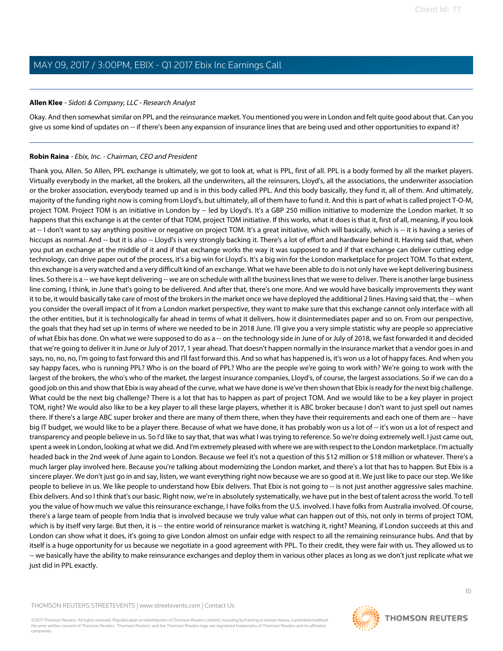# **Allen Klee** - Sidoti & Company, LLC - Research Analyst

Okay. And then somewhat similar on PPL and the reinsurance market. You mentioned you were in London and felt quite good about that. Can you give us some kind of updates on -- if there's been any expansion of insurance lines that are being used and other opportunities to expand it?

# **Robin Raina** - Ebix, Inc. - Chairman, CEO and President

Thank you, Allen. So Allen, PPL exchange is ultimately, we got to look at, what is PPL, first of all. PPL is a body formed by all the market players. Virtually everybody in the market, all the brokers, all the underwriters, all the reinsurers, Lloyd's, all the associations, the underwriter association or the broker association, everybody teamed up and is in this body called PPL. And this body basically, they fund it, all of them. And ultimately, majority of the funding right now is coming from Lloyd's, but ultimately, all of them have to fund it. And this is part of what is called project T-O-M, project TOM. Project TOM is an initiative in London by -- led by Lloyd's. It's a GBP 250 million initiative to modernize the London market. It so happens that this exchange is at the center of that TOM, project TOM initiative. If this works, what it does is that it, first of all, meaning, if you look at -- I don't want to say anything positive or negative on project TOM. It's a great initiative, which will basically, which is -- it is having a series of hiccups as normal. And -- but it is also -- Lloyd's is very strongly backing it. There's a lot of effort and hardware behind it. Having said that, when you put an exchange at the middle of it and if that exchange works the way it was supposed to and if that exchange can deliver cutting edge technology, can drive paper out of the process, it's a big win for Lloyd's. It's a big win for the London marketplace for project TOM. To that extent, this exchange is a very watched and a very difficult kind of an exchange. What we have been able to do is not only have we kept delivering business lines. So there is a -- we have kept delivering -- we are on schedule with all the business lines that we were to deliver. There is another large business line coming, I think, in June that's going to be delivered. And after that, there's one more. And we would have basically improvements they want it to be, it would basically take care of most of the brokers in the market once we have deployed the additional 2 lines. Having said that, the -- when you consider the overall impact of it from a London market perspective, they want to make sure that this exchange cannot only interface with all the other entities, but it is technologically far ahead in terms of what it delivers, how it disintermediates paper and so on. From our perspective, the goals that they had set up in terms of where we needed to be in 2018 June. I'll give you a very simple statistic why are people so appreciative of what Ebix has done. On what we were supposed to do as a -- on the technology side in June of or July of 2018, we fast forwarded it and decided that we're going to deliver it in June or July of 2017, 1 year ahead. That doesn't happen normally in the insurance market that a vendor goes in and says, no, no, no, I'm going to fast forward this and I'll fast forward this. And so what has happened is, it's won us a lot of happy faces. And when you say happy faces, who is running PPL? Who is on the board of PPL? Who are the people we're going to work with? We're going to work with the largest of the brokers, the who's who of the market, the largest insurance companies, Lloyd's, of course, the largest associations. So if we can do a good job on this and show that Ebix is way ahead of the curve, what we have done is we've then shown that Ebix is ready for the next big challenge. What could be the next big challenge? There is a lot that has to happen as part of project TOM. And we would like to be a key player in project TOM, right? We would also like to be a key player to all these large players, whether it is ABC broker because I don't want to just spell out names there. If there's a large ABC super broker and there are many of them there, when they have their requirements and each one of them are -- have big IT budget, we would like to be a player there. Because of what we have done, it has probably won us a lot of -- it's won us a lot of respect and transparency and people believe in us. So I'd like to say that, that was what I was trying to reference. So we're doing extremely well. I just came out, spent a week in London, looking at what we did. And I'm extremely pleased with where we are with respect to the London marketplace. I'm actually headed back in the 2nd week of June again to London. Because we feel it's not a question of this \$12 million or \$18 million or whatever. There's a much larger play involved here. Because you're talking about modernizing the London market, and there's a lot that has to happen. But Ebix is a sincere player. We don't just go in and say, listen, we want everything right now because we are so good at it. We just like to pace our step. We like people to believe in us. We like people to understand how Ebix delivers. That Ebix is not going to -- is not just another aggressive sales machine. Ebix delivers. And so I think that's our basic. Right now, we're in absolutely systematically, we have put in the best of talent across the world. To tell you the value of how much we value this reinsurance exchange, I have folks from the U.S. involved. I have folks from Australia involved. Of course, there's a large team of people from India that is involved because we truly value what can happen out of this, not only in terms of project TOM, which is by itself very large. But then, it is -- the entire world of reinsurance market is watching it, right? Meaning, if London succeeds at this and London can show what it does, it's going to give London almost on unfair edge with respect to all the remaining reinsurance hubs. And that by itself is a huge opportunity for us because we negotiate in a good agreement with PPL. To their credit, they were fair with us. They allowed us to -- we basically have the ability to make reinsurance exchanges and deploy them in various other places as long as we don't just replicate what we just did in PPL exactly.

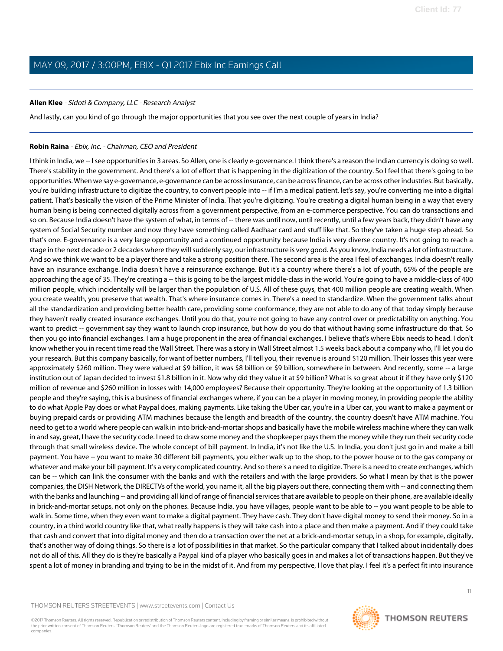# **Allen Klee** - Sidoti & Company, LLC - Research Analyst

And lastly, can you kind of go through the major opportunities that you see over the next couple of years in India?

## **Robin Raina** - Ebix, Inc. - Chairman, CEO and President

I think in India, we -- I see opportunities in 3 areas. So Allen, one is clearly e-governance. I think there's a reason the Indian currency is doing so well. There's stability in the government. And there's a lot of effort that is happening in the digitization of the country. So I feel that there's going to be opportunities. When we say e-governance, e-governance can be across insurance, can be across finance, can be across other industries. But basically, you're building infrastructure to digitize the country, to convert people into -- if I'm a medical patient, let's say, you're converting me into a digital patient. That's basically the vision of the Prime Minister of India. That you're digitizing. You're creating a digital human being in a way that every human being is being connected digitally across from a government perspective, from an e-commerce perspective. You can do transactions and so on. Because India doesn't have the system of what, in terms of -- there was until now, until recently, until a few years back, they didn't have any system of Social Security number and now they have something called Aadhaar card and stuff like that. So they've taken a huge step ahead. So that's one. E-governance is a very large opportunity and a continued opportunity because India is very diverse country. It's not going to reach a stage in the next decade or 2 decades where they will suddenly say, our infrastructure is very good. As you know, India needs a lot of infrastructure. And so we think we want to be a player there and take a strong position there. The second area is the area I feel of exchanges. India doesn't really have an insurance exchange. India doesn't have a reinsurance exchange. But it's a country where there's a lot of youth, 65% of the people are approaching the age of 35. They're creating a -- this is going to be the largest middle-class in the world. You're going to have a middle-class of 400 million people, which incidentally will be larger than the population of U.S. All of these guys, that 400 million people are creating wealth. When you create wealth, you preserve that wealth. That's where insurance comes in. There's a need to standardize. When the government talks about all the standardization and providing better health care, providing some conformance, they are not able to do any of that today simply because they haven't really created insurance exchanges. Until you do that, you're not going to have any control over or predictability on anything. You want to predict -- government say they want to launch crop insurance, but how do you do that without having some infrastructure do that. So then you go into financial exchanges. I am a huge proponent in the area of financial exchanges. I believe that's where Ebix needs to head. I don't know whether you in recent time read the Wall Street. There was a story in Wall Street almost 1.5 weeks back about a company who, I'll let you do your research. But this company basically, for want of better numbers, I'll tell you, their revenue is around \$120 million. Their losses this year were approximately \$260 million. They were valued at \$9 billion, it was \$8 billion or \$9 billion, somewhere in between. And recently, some -- a large institution out of Japan decided to invest \$1.8 billion in it. Now why did they value it at \$9 billion? What is so great about it if they have only \$120 million of revenue and \$260 million in losses with 14,000 employees? Because their opportunity. They're looking at the opportunity of 1.3 billion people and they're saying, this is a business of financial exchanges where, if you can be a player in moving money, in providing people the ability to do what Apple Pay does or what Paypal does, making payments. Like taking the Uber car, you're in a Uber car, you want to make a payment or buying prepaid cards or providing ATM machines because the length and breadth of the country, the country doesn't have ATM machine. You need to get to a world where people can walk in into brick-and-mortar shops and basically have the mobile wireless machine where they can walk in and say, great, I have the security code. I need to draw some money and the shopkeeper pays them the money while they run their security code through that small wireless device. The whole concept of bill payment. In India, it's not like the U.S. In India, you don't just go in and make a bill payment. You have -- you want to make 30 different bill payments, you either walk up to the shop, to the power house or to the gas company or whatever and make your bill payment. It's a very complicated country. And so there's a need to digitize. There is a need to create exchanges, which can be -- which can link the consumer with the banks and with the retailers and with the large providers. So what I mean by that is the power companies, the DISH Network, the DIRECTVs of the world, you name it, all the big players out there, connecting them with -- and connecting them with the banks and launching -- and providing all kind of range of financial services that are available to people on their phone, are available ideally in brick-and-mortar setups, not only on the phones. Because India, you have villages, people want to be able to -- you want people to be able to walk in. Some time, when they even want to make a digital payment. They have cash. They don't have digital money to send their money. So in a country, in a third world country like that, what really happens is they will take cash into a place and then make a payment. And if they could take that cash and convert that into digital money and then do a transaction over the net at a brick-and-mortar setup, in a shop, for example, digitally, that's another way of doing things. So there is a lot of possibilities in that market. So the particular company that I talked about incidentally does not do all of this. All they do is they're basically a Paypal kind of a player who basically goes in and makes a lot of transactions happen. But they've spent a lot of money in branding and trying to be in the midst of it. And from my perspective, I love that play. I feel it's a perfect fit into insurance